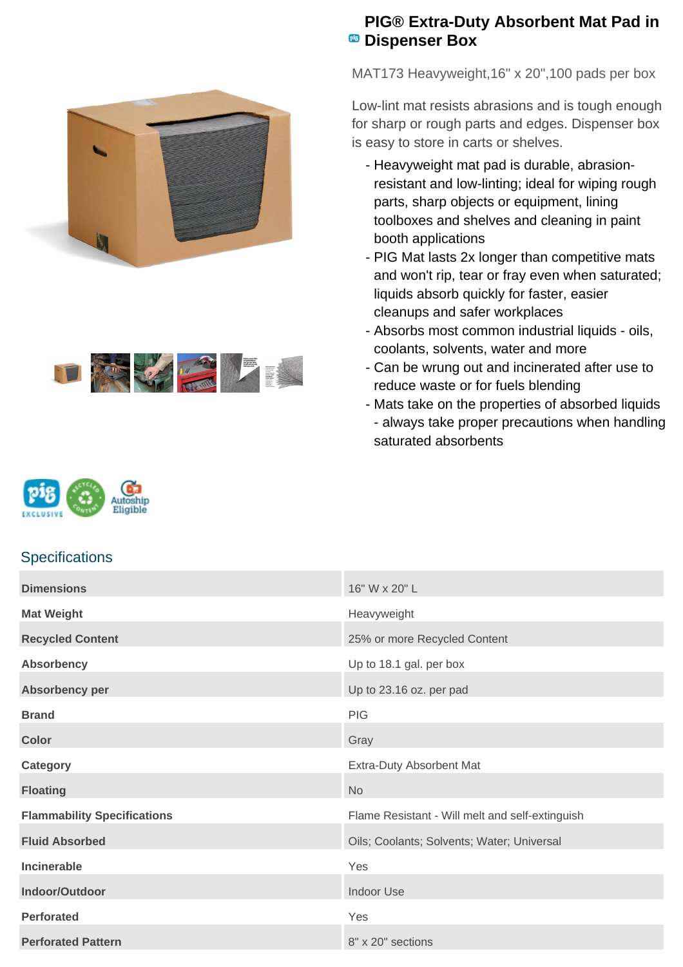



## **PIG® Extra-Duty Absorbent Mat Pad in PB** Dispenser Box

MAT173 Heavyweight,16" x 20",100 pads per box

Low-lint mat resists abrasions and is tough enough for sharp or rough parts and edges. Dispenser box is easy to store in carts or shelves.

- Heavyweight mat pad is durable, abrasionresistant and low-linting; ideal for wiping rough parts, sharp objects or equipment, lining toolboxes and shelves and cleaning in paint booth applications
- PIG Mat lasts 2x longer than competitive mats and won't rip, tear or fray even when saturated; liquids absorb quickly for faster, easier cleanups and safer workplaces
- Absorbs most common industrial liquids oils, coolants, solvents, water and more
- Can be wrung out and incinerated after use to reduce waste or for fuels blending
- Mats take on the properties of absorbed liquids - always take proper precautions when handling saturated absorbents



## **Specifications**

| <b>Dimensions</b>                  | 16" W x 20" L                                   |
|------------------------------------|-------------------------------------------------|
| <b>Mat Weight</b>                  | Heavyweight                                     |
| <b>Recycled Content</b>            | 25% or more Recycled Content                    |
| <b>Absorbency</b>                  | Up to 18.1 gal. per box                         |
| Absorbency per                     | Up to 23.16 oz. per pad                         |
| <b>Brand</b>                       | <b>PIG</b>                                      |
| <b>Color</b>                       | Gray                                            |
| <b>Category</b>                    | Extra-Duty Absorbent Mat                        |
| <b>Floating</b>                    | <b>No</b>                                       |
| <b>Flammability Specifications</b> | Flame Resistant - Will melt and self-extinguish |
| <b>Fluid Absorbed</b>              | Oils; Coolants; Solvents; Water; Universal      |
| <b>Incinerable</b>                 | Yes                                             |
| Indoor/Outdoor                     | <b>Indoor Use</b>                               |
| <b>Perforated</b>                  | Yes                                             |
| <b>Perforated Pattern</b>          | 8" x 20" sections                               |